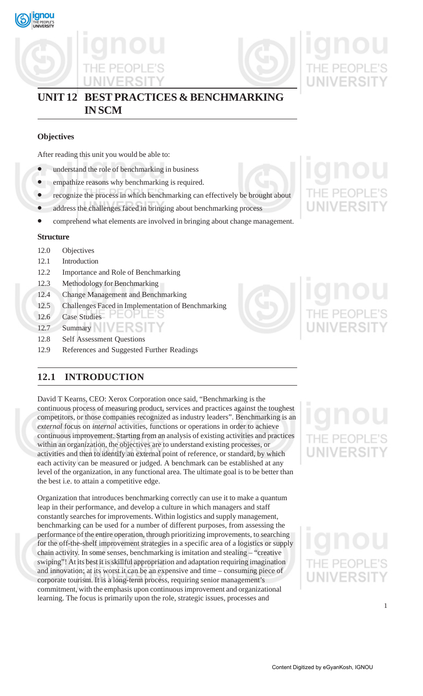





# **UNIT 12 BEST PRACTICES & BENCHMARKING IN SCM**

# **Objectives**

After reading this unit you would be able to:

- understand the role of benchmarking in business
- empathize reasons why benchmarking is required.
- recognize the process in which benchmarking can effectively be brought about
- address the challenges faced in bringing about benchmarking process
- comprehend what elements are involved in bringing about change management.

# **Structure**

- 12.0 Objectives
- 12.1 Introduction
- 12.2 Importance and Role of Benchmarking
- 12.3 Methodology for Benchmarking
- 12.4 Change Management and Benchmarking
- 12.5 Challenges Faced in Implementation of Benchmarking
- 12.6 Case Studies
- 12.7 Summary **New York Street**
- 12.8 Self Assessment Questions
- 12.9 References and Suggested Further Readings

# **12.1 INTRODUCTION**

David T Kearns, CEO: Xerox Corporation once said, "Benchmarking is the continuous process of measuring product, services and practices against the toughest competitors, or those companies recognized as industry leaders". Benchmarking is an *external* focus on *internal* activities, functions or operations in order to achieve continuous improvement. Starting from an analysis of existing activities and practices within an organization, the objectives are to understand existing processes, or activities and then to identify an external point of reference, or standard, by which each activity can be measured or judged. A benchmark can be established at any level of the organization, in any functional area. The ultimate goal is to be better than the best i.e. to attain a competitive edge.

Organization that introduces benchmarking correctly can use it to make a quantum leap in their performance, and develop a culture in which managers and staff constantly searches for improvements. Within logistics and supply management, benchmarking can be used for a number of different purposes, from assessing the performance of the entire operation, through prioritizing improvements, to searching for the off-the-shelf improvement strategies in a specific area of a logistics or supply chain activity. In some senses, benchmarking is imitation and stealing – "creative swiping"! At its best it is skillful appropriation and adaptation requiring imagination and innovation; at its worst it can be an expensive and time – consuming piece of corporate tourism. It is a long-term process, requiring senior management's commitment, with the emphasis upon continuous improvement and organizational learning. The focus is primarily upon the role, strategic issues, processes and

UNIVERSIT



# **UNIVERSIT**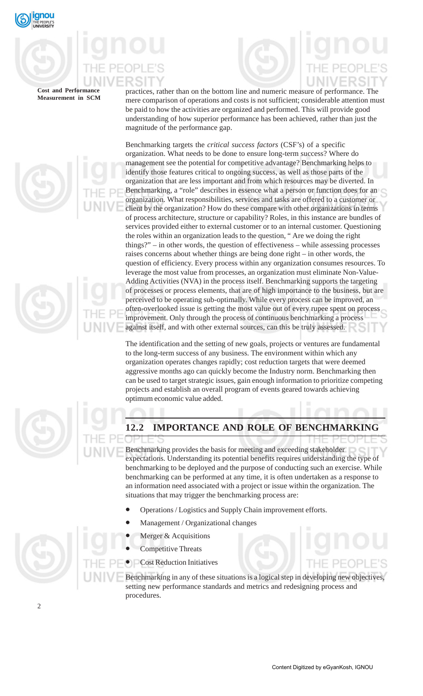

practices, rather than on the bottom line and numeric measure of performance. The mere comparison of operations and costs is not sufficient; considerable attention must be paid to how the activities are organized and performed. This will provide good understanding of how superior performance has been achieved, rather than just the magnitude of the performance gap.

Benchmarking targets the *critical success factors* (CSF's) of a specific organization. What needs to be done to ensure long-term success? Where do management see the potential for competitive advantage? Benchmarking helps to identify those features critical to ongoing success, as well as those parts of the organization that are less important and from which resources may be diverted. In Benchmarking, a "role" describes in essence what a person or function does for an organization. What responsibilities, services and tasks are offered to a customer or client by the organization? How do these compare with other organizations in terms of process architecture, structure or capability? Roles, in this instance are bundles of services provided either to external customer or to an internal customer. Questioning the roles within an organization leads to the question, " Are we doing the right things?" – in other words, the question of effectiveness – while assessing processes raises concerns about whether things are being done right – in other words, the question of efficiency. Every process within any organization consumes resources. To leverage the most value from processes, an organization must eliminate Non-Value-Adding Activities (NVA) in the process itself. Benchmarking supports the targeting of processes or process elements, that are of high importance to the business, but are perceived to be operating sub-optimally. While every process can be improved, an often-overlooked issue is getting the most value out of every rupee spent on process improvement. Only through the process of continuous benchmarking a process against itself, and with other external sources, can this be truly assessed.

The identification and the setting of new goals, projects or ventures are fundamental to the long-term success of any business. The environment within which any organization operates changes rapidly; cost reduction targets that were deemed aggressive months ago can quickly become the Industry norm. Benchmarking then can be used to target strategic issues, gain enough information to prioritize competing projects and establish an overall program of events geared towards achieving optimum economic value added.



# **12.2 IMPORTANCE AND ROLE OF BENCHMARKING**

Benchmarking provides the basis for meeting and exceeding stakeholder expectations. Understanding its potential benefits requires understanding the type of benchmarking to be deployed and the purpose of conducting such an exercise. While benchmarking can be performed at any time, it is often undertaken as a response to an information need associated with a project or issue within the organization. The situations that may trigger the benchmarking process are:

- Operations / Logistics and Supply Chain improvement efforts.
- Management / Organizational changes
- Merger  $&$  Acquisitions
- Competitive Threats
- Cost Reduction Initiatives

Benchmarking in any of these situations is a logical step in developing new objectives, setting new performance standards and metrics and redesigning process and procedures.



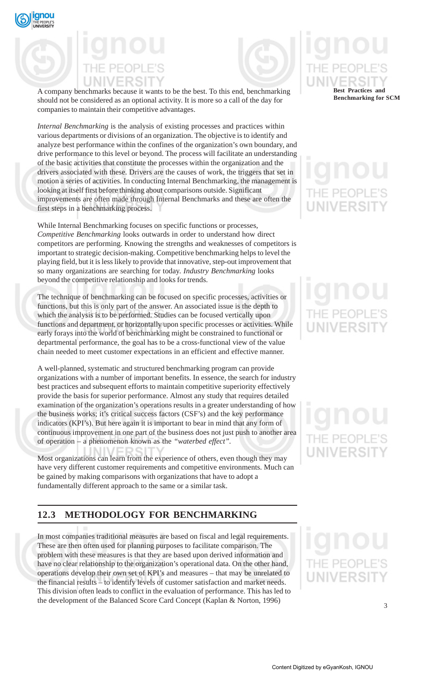

A company benchmarks because it wants to be the best. To this end, benchmarking should not be considered as an optional activity. It is more so a call of the day for companies to maintain their competitive advantages.

*Internal Benchmarking* is the analysis of existing processes and practices within various departments or divisions of an organization. The objective is to identify and analyze best performance within the confines of the organization's own boundary, and drive performance to this level or beyond. The process will facilitate an understanding of the basic activities that constitute the processes within the organization and the drivers associated with these. Drivers are the causes of work, the triggers that set in motion a series of activities. In conducting Internal Benchmarking, the management is looking at itself first before thinking about comparisons outside. Significant improvements are often made through Internal Benchmarks and these are often the first steps in a benchmarking process.

While Internal Benchmarking focuses on specific functions or processes, *Competitive Benchmarking* looks outwards in order to understand how direct competitors are performing. Knowing the strengths and weaknesses of competitors is important to strategic decision-making. Competitive benchmarking helps to level the playing field, but it is less likely to provide that innovative, step-out improvement that so many organizations are searching for today. *Industry Benchmarking* looks beyond the competitive relationship and looks for trends.

The technique of benchmarking can be focused on specific processes, activities or functions, but this is only part of the answer. An associated issue is the depth to which the analysis is to be performed. Studies can be focused vertically upon functions and department, or horizontally upon specific processes or activities. While early forays into the world of benchmarking might be constrained to functional or departmental performance, the goal has to be a cross-functional view of the value chain needed to meet customer expectations in an efficient and effective manner.

A well-planned, systematic and structured benchmarking program can provide organizations with a number of important benefits. In essence, the search for industry best practices and subsequent efforts to maintain competitive superiority effectively provide the basis for superior performance. Almost any study that requires detailed examination of the organization's operations results in a greater understanding of how the business works; it's critical success factors (CSF's) and the key performance indicators (KPI's). But here again it is important to bear in mind that any form of continuous improvement in one part of the business does not just push to another area of operation – a phenomenon known as the *"waterbed effect".*

Most organizations can learn from the experience of others, even though they may have very different customer requirements and competitive environments. Much can be gained by making comparisons with organizations that have to adopt a fundamentally different approach to the same or a similar task.

# **12.3 METHODOLOGY FOR BENCHMARKING**

In most companies traditional measures are based on fiscal and legal requirements. These are then often used for planning purposes to facilitate comparison. The problem with these measures is that they are based upon derived information and have no clear relationship to the organization's operational data. On the other hand, operations develop their own set of KPI's and measures – that may be unrelated to the financial results – to identify levels of customer satisfaction and market needs. This division often leads to conflict in the evaluation of performance. This has led to the development of the Balanced Score Card Concept (Kaplan & Norton, 1996)

# **Best Practices and**

**Benchmarking for SCM**

# PEOP **UNIVERSI**

 $F$  PF(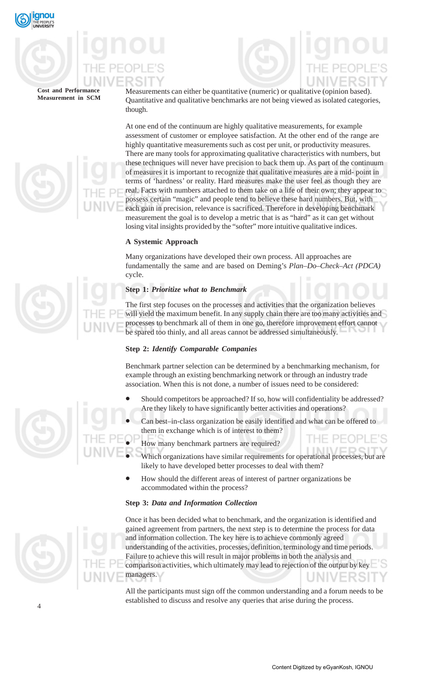

Measurements can either be quantitative (numeric) or qualitative (opinion based). Quantitative and qualitative benchmarks are not being viewed as isolated categories, though.

At one end of the continuum are highly qualitative measurements, for example assessment of customer or employee satisfaction. At the other end of the range are highly quantitative measurements such as cost per unit, or productivity measures. There are many tools for approximating qualitative characteristics with numbers, but these techniques will never have precision to back them up. As part of the continuum of measures it is important to recognize that qualitative measures are a mid- point in terms of 'hardness' or reality. Hard measures make the user feel as though they are real. Facts with numbers attached to them take on a life of their own; they appear to possess certain "magic" and people tend to believe these hard numbers. But, with each gain in precision, relevance is sacrificed. Therefore in developing benchmark measurement the goal is to develop a metric that is as "hard" as it can get without losing vital insights provided by the "softer" more intuitive qualitative indices.

# **A Systemic Approach**

Many organizations have developed their own process. All approaches are fundamentally the same and are based on Deming's *Plan–Do–Check–Act (PDCA)* cycle.

# **Step 1:** *Prioritize what to Benchmark*

The first step focuses on the processes and activities that the organization believes will yield the maximum benefit. In any supply chain there are too many activities and processes to benchmark all of them in one go, therefore improvement effort cannot be spared too thinly, and all areas cannot be addressed simultaneously.

# **Step 2:** *Identify Comparable Companies*

Benchmark partner selection can be determined by a benchmarking mechanism, for example through an existing benchmarking network or through an industry trade association. When this is not done, a number of issues need to be considered:

- Should competitors be approached? If so, how will confidentiality be addressed? Are they likely to have significantly better activities and operations?
- Can best–in-class organization be easily identified and what can be offered to them in exchange which is of interest to them?
	- How many benchmark partners are required?
- Which organizations have similar requirements for operational processes, but are likely to have developed better processes to deal with them?
- How should the different areas of interest of partner organizations be accommodated within the process?

# **Step 3:** *Data and Information Collection*



Once it has been decided what to benchmark, and the organization is identified and gained agreement from partners, the next step is to determine the process for data and information collection. The key here is to achieve commonly agreed understanding of the activities, processes, definition, terminology and time periods. Failure to achieve this will result in major problems in both the analysis and comparison activities, which ultimately may lead to rejection of the output by key managers.

All the participants must sign off the common understanding and a forum needs to be established to discuss and resolve any queries that arise during the process.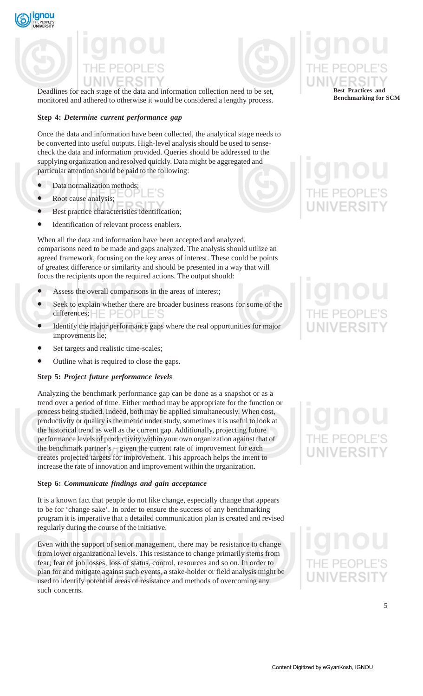

Deadlines for each stage of the data and information collection need to be set, monitored and adhered to otherwise it would be considered a lengthy process.

# **Step 4:** *Determine current performance gap*

Once the data and information have been collected, the analytical stage needs to be converted into useful outputs. High-level analysis should be used to sensecheck the data and information provided. Queries should be addressed to the supplying organization and resolved quickly. Data might be aggregated and particular attention should be paid to the following:

Data normalization methods;

qnou

- Root cause analysis;
- Best practice characteristics identification;
- Identification of relevant process enablers.

When all the data and information have been accepted and analyzed, comparisons need to be made and gaps analyzed. The analysis should utilize an agreed framework, focusing on the key areas of interest. These could be points of greatest difference or similarity and should be presented in a way that will focus the recipients upon the required actions. The output should:

- Assess the overall comparisons in the areas of interest;
- Seek to explain whether there are broader business reasons for some of the differences;  $\vdash$   $\vdash$   $\lnot$   $\lnot$   $\lnot$   $\lnot$   $\lnot$   $\lnot$   $\lnot$   $\lnot$   $\lnot$   $\lnot$   $\lnot$   $\lnot$   $\lnot$   $\lnot$   $\lnot$   $\lnot$   $\lnot$   $\lnot$   $\lnot$   $\lnot$   $\lnot$   $\lnot$   $\lnot$   $\lnot$   $\lnot$   $\lnot$   $\lnot$   $\lnot$   $\lnot$   $\lnot$   $\lnot$   $\lnot$   $\lnot$
- Identify the major performance gaps where the real opportunities for major improvements lie;
- Set targets and realistic time-scales;
- Outline what is required to close the gaps.

# **Step 5:** *Project future performance levels*

Analyzing the benchmark performance gap can be done as a snapshot or as a trend over a period of time. Either method may be appropriate for the function or process being studied. Indeed, both may be applied simultaneously. When cost, productivity or quality is the metric under study, sometimes it is useful to look at the historical trend as well as the current gap. Additionally, projecting future performance levels of productivity within your own organization against that of the benchmark partner's – given the current rate of improvement for each creates projected targets for improvement. This approach helps the intent to increase the rate of innovation and improvement within the organization.

# **Step 6:** *Communicate findings and gain acceptance*

It is a known fact that people do not like change, especially change that appears to be for 'change sake'. In order to ensure the success of any benchmarking program it is imperative that a detailed communication plan is created and revised regularly during the course of the initiative.

Even with the support of senior management, there may be resistance to change from lower organizational levels. This resistance to change primarily stems from fear; fear of job losses, loss of status, control, resources and so on. In order to plan for and mitigate against such events, a stake-holder or field analysis might be used to identify potential areas of resistance and methods of overcoming any such concerns.

**Best Practices and Benchmarking for SCM**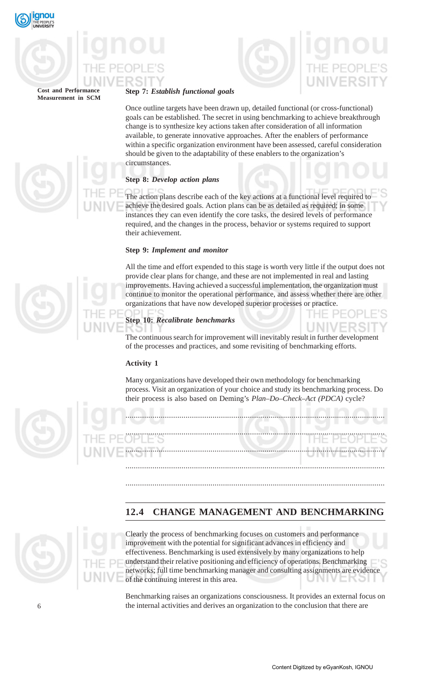



# **Step 7:** *Establish functional goals*

Once outline targets have been drawn up, detailed functional (or cross-functional) goals can be established. The secret in using benchmarking to achieve breakthrough change is to synthesize key actions taken after consideration of all information available, to generate innovative approaches. After the enablers of performance within a specific organization environment have been assessed, careful consideration should be given to the adaptability of these enablers to the organization's circumstances.

# **Step 8:** *Develop action plans*

The action plans describe each of the key actions at a functional level required to achieve the desired goals. Action plans can be as detailed as required; in some instances they can even identify the core tasks, the desired levels of performance required, and the changes in the process, behavior or systems required to support their achievement.

# **Step 9:** *Implement and monitor*

All the time and effort expended to this stage is worth very little if the output does not provide clear plans for change, and these are not implemented in real and lasting improvements. Having achieved a successful implementation, the organization must continue to monitor the operational performance, and assess whether there are other organizations that have now developed superior processes or practice.

# **Step 10:** *Recalibrate benchmarks*

The continuous search for improvement will inevitably result in further development of the processes and practices, and some revisiting of benchmarking efforts.

# **Activity 1**

Many organizations have developed their own methodology for benchmarking process. Visit an organization of your choice and study its benchmarking process. Do their process is also based on Deming's *Plan–Do–Check–Act (PDCA)* cycle?



............................................................................................................................. ............................................................................................................................. ............................................................................................................................. .............................................................................................................................

# **12.4 CHANGE MANAGEMENT AND BENCHMARKING**

.............................................................................................................................



Clearly the process of benchmarking focuses on customers and performance improvement with the potential for significant advances in efficiency and effectiveness. Benchmarking is used extensively by many organizations to help understand their relative positioning and efficiency of operations. Benchmarking networks; full time benchmarking manager and consulting assignments are evidence of the continuing interest in this area.

Benchmarking raises an organizations consciousness. It provides an external focus on the internal activities and derives an organization to the conclusion that there are



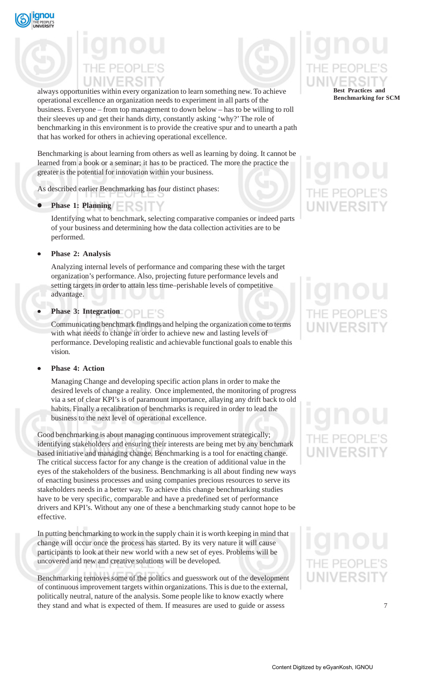

always opportunities within every organization to learn something new. To achieve operational excellence an organization needs to experiment in all parts of the business. Everyone – from top management to down below – has to be willing to roll their sleeves up and get their hands dirty, constantly asking 'why?' The role of benchmarking in this environment is to provide the creative spur and to unearth a path that has worked for others in achieving operational excellence.

Benchmarking is about learning from others as well as learning by doing. It cannot be learned from a book or a seminar; it has to be practiced. The more the practice the greater is the potential for innovation within your business.

As described earlier Benchmarking has four distinct phases:

• **Phase 1: Planning**

Identifying what to benchmark, selecting comparative companies or indeed parts of your business and determining how the data collection activities are to be performed.

• **Phase 2: Analysis**

Analyzing internal levels of performance and comparing these with the target organization's performance. Also, projecting future performance levels and setting targets in order to attain less time–perishable levels of competitive advantage.

# **Phase 3: Integration OPLE'S**

Communicating benchmark findings and helping the organization come to terms with what needs to change in order to achieve new and lasting levels of performance. Developing realistic and achievable functional goals to enable this vision.

# • **Phase 4: Action**

Managing Change and developing specific action plans in order to make the desired levels of change a reality. Once implemented, the monitoring of progress via a set of clear KPI's is of paramount importance, allaying any drift back to old habits. Finally a recalibration of benchmarks is required in order to lead the business to the next level of operational excellence.

Good benchmarking is about managing continuous improvement strategically; identifying stakeholders and ensuring their interests are being met by any benchmark based initiative and managing change. Benchmarking is a tool for enacting change. The critical success factor for any change is the creation of additional value in the eyes of the stakeholders of the business. Benchmarking is all about finding new ways of enacting business processes and using companies precious resources to serve its stakeholders needs in a better way. To achieve this change benchmarking studies have to be very specific, comparable and have a predefined set of performance drivers and KPI's. Without any one of these a benchmarking study cannot hope to be effective.

In putting benchmarking to work in the supply chain it is worth keeping in mind that change will occur once the process has started. By its very nature it will cause participants to look at their new world with a new set of eyes. Problems will be uncovered and new and creative solutions will be developed.

Benchmarking removes some of the politics and guesswork out of the development of continuous improvement targets within organizations. This is due to the external, politically neutral, nature of the analysis. Some people like to know exactly where they stand and what is expected of them. If measures are used to guide or assess



# IF PFOP **UNIVERSI**

# **JNIVERSI**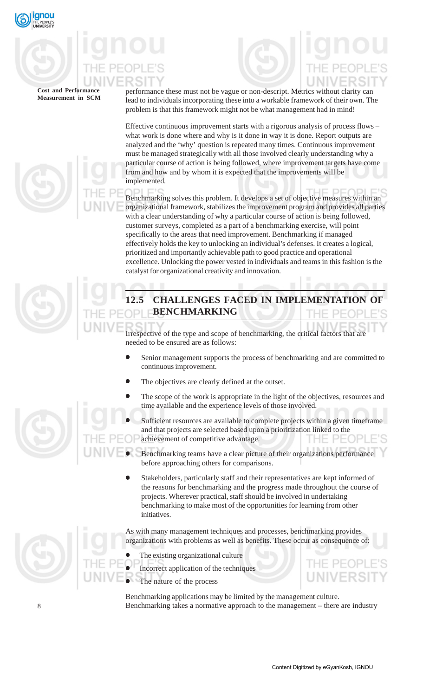

performance these must not be vague or non-descript. Metrics without clarity can lead to individuals incorporating these into a workable framework of their own. The problem is that this framework might not be what management had in mind!

Effective continuous improvement starts with a rigorous analysis of process flows – what work is done where and why is it done in way it is done. Report outputs are analyzed and the 'why' question is repeated many times. Continuous improvement must be managed strategically with all those involved clearly understanding why a particular course of action is being followed, where improvement targets have come from and how and by whom it is expected that the improvements will be implemented.

Benchmarking solves this problem. It develops a set of objective measures within an organizational framework, stabilizes the improvement program and provides all parties with a clear understanding of why a particular course of action is being followed, customer surveys, completed as a part of a benchmarking exercise, will point specifically to the areas that need improvement. Benchmarking if managed effectively holds the key to unlocking an individual's defenses. It creates a logical, prioritized and importantly achievable path to good practice and operational excellence. Unlocking the power vested in individuals and teams in this fashion is the catalyst for organizational creativity and innovation.



# **12.5 CHALLENGES FACED IN IMPLEMENT BENCHMARKING**

Irrespective of the type and scope of benchmarking, the critical factors that are needed to be ensured are as follows:

- Senior management supports the process of benchmarking and are committed to continuous improvement.
- The objectives are clearly defined at the outset.
- The scope of the work is appropriate in the light of the objectives, resources and time available and the experience levels of those involved.
- Sufficient resources are available to complete projects within a given timeframe and that projects are selected based upon a prioritization linked to the achievement of competitive advantage.
- Benchmarking teams have a clear picture of their organizations performance before approaching others for comparisons.
- Stakeholders, particularly staff and their representatives are kept informed of the reasons for benchmarking and the progress made throughout the course of projects. Wherever practical, staff should be involved in undertaking benchmarking to make most of the opportunities for learning from other initiatives.

As with many management techniques and processes, benchmarking provides organizations with problems as well as benefits. These occur as consequence of:

- The existing organizational culture
- Incorrect application of the techniques
- The nature of the process

Benchmarking applications may be limited by the management culture. Benchmarking takes a normative approach to the management – there are industry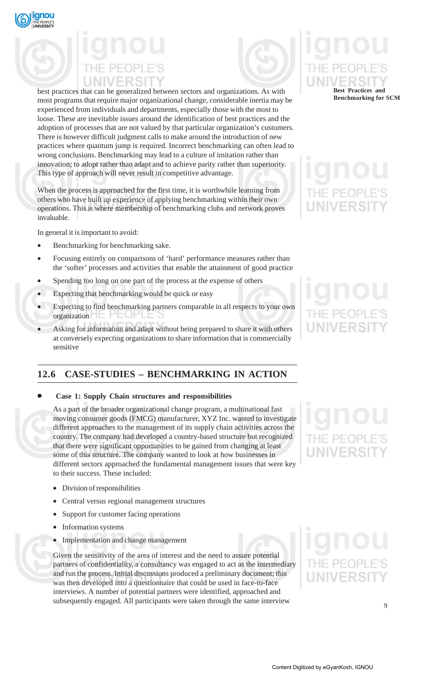

best practices that can be generalized between sectors and organizations. As with most programs that require major organizational change, considerable inertia may be experienced from individuals and departments, especially those with the most to loose. These are inevitable issues around the identification of best practices and the adoption of processes that are not valued by that particular organization's customers. There is however difficult judgment calls to make around the introduction of new practices where quantum jump is required. Incorrect benchmarking can often lead to wrong conclusions. Benchmarking may lead to a culture of imitation rather than innovation; to adopt rather than adapt and to achieve parity rather than superiority. This type of approach will never result in competitive advantage.

When the process is approached for the first time, it is worthwhile learning from others who have built up experience of applying benchmarking within their own operations. This is where membership of benchmarking clubs and network proves invaluable.

In general it is important to avoid:

- Benchmarking for benchmarking sake.
- Focusing entirely on comparisons of 'hard' performance measures rather than the 'softer' processes and activities that enable the attainment of good practice
- Spending too long on one part of the process at the expense of others
- Expecting that benchmarking would be quick or easy
- Expecting to find benchmarking partners comparable in all respects to your own organization
- Asking for information and adapt without being prepared to share it with others at conversely expecting organizations to share information that is commercially sensitive

# **12.6 CASE-STUDIES – BENCHMARKING IN ACTION**

# • **Case 1: Supply Chain structures and responsibilities**

As a part of the broader organizational change program, a multinational fast moving consumer goods (FMCG) manufacturer, XYZ Inc. wanted to investigate different approaches to the management of its supply chain activities across the country. The company had developed a country-based structure but recognized that there were significant opportunities to be gained from changing at least some of this structure. The company wanted to look at how businesses in different sectors approached the fundamental management issues that were key to their success. These included:

- Division of responsibilities
- Central versus regional management structures
- Support for customer facing operations
- Information systems
- Implementation and change management

Given the sensitivity of the area of interest and the need to assure potential partners of confidentiality, a consultancy was engaged to act as the intermediary and run the process. Initial discussions produced a preliminary document; this was then developed into a questionnaire that could be used in face-to-face interviews. A number of potential partners were identified, approached and subsequently engaged. All participants were taken through the same interview

# **Best Practices and Benchmarking for SCM**

# UNIVERSI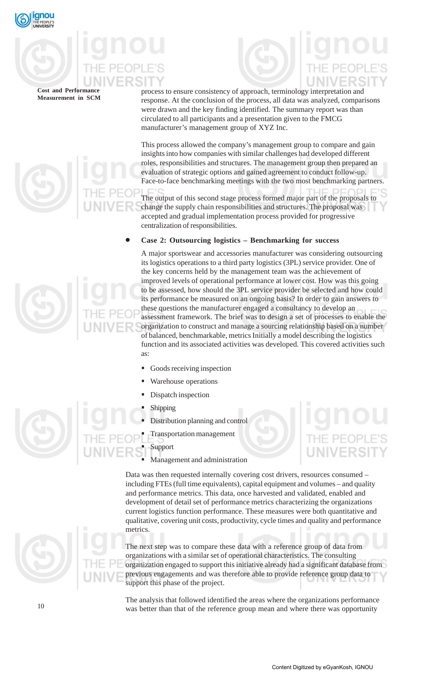

# process to ensure consistency of approach, terminology interpretation and response. At the conclusion of the process, all data was analyzed, comparisons were drawn and the key finding identified. The summary report was than circulated to all participants and a presentation given to the FMCG manufacturer's management group of XYZ Inc.

This process allowed the company's management group to compare and gain insights into how companies with similar challenges had developed different roles, responsibilities and structures. The management group then prepared an evaluation of strategic options and gained agreement to conduct follow-up. Face-to-face benchmarking meetings with the two most benchmarking partners.

The output of this second stage process formed major part of the proposals to change the supply chain responsibilities and structures. The proposal was accepted and gradual implementation process provided for progressive centralization of responsibilities.

# • **Case 2: Outsourcing logistics – Benchmarking for success**

A major sportswear and accessories manufacturer was considering outsourcing its logistics operations to a third party logistics (3PL) service provider. One of the key concerns held by the management team was the achievement of improved levels of operational performance at lower cost. How was this going to be assessed, how should the 3PL service provider be selected and how could its performance be measured on an ongoing basis? In order to gain answers to these questions the manufacturer engaged a consultancy to develop an assessment framework. The brief was to design a set of processes to enable the organization to construct and manage a sourcing relationship based on a number of balanced, benchmarkable, metrics Initially a model describing the logistics function and its associated activities was developed. This covered activities such as:

- Goods receiving inspection
- Warehouse operations
- Dispatch inspection
- Shipping
- Distribution planning and control
	- Transportation management
- Support
- Management and administration

Data was then requested internally covering cost drivers, resources consumed – including FTEs (full time equivalents), capital equipment and volumes – and quality and performance metrics. This data, once harvested and validated, enabled and development of detail set of performance metrics characterizing the organizations current logistics function performance. These measures were both quantitative and qualitative, covering unit costs, productivity, cycle times and quality and performance metrics.

The next step was to compare these data with a reference group of data from organizations with a similar set of operational characteristics. The consulting organization engaged to support this initiative already had a significant database from previous engagements and was therefore able to provide reference group data to support this phase of the project.

The analysis that followed identified the areas where the organizations performance was better than that of the reference group mean and where there was opportunity



10

Content Digitized by eGyanKosh, IGNOU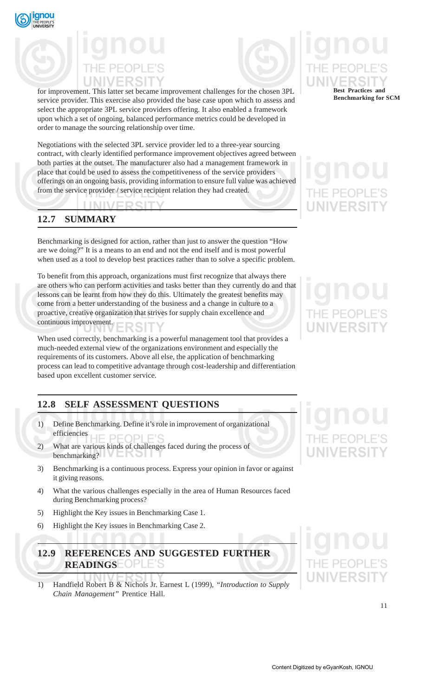



for improvement. This latter set became improvement challenges for the chosen 3PL service provider. This exercise also provided the base case upon which to assess and select the appropriate 3PL service providers offering. It also enabled a framework upon which a set of ongoing, balanced performance metrics could be developed in order to manage the sourcing relationship over time.

Negotiations with the selected 3PL service provider led to a three-year sourcing contract, with clearly identified performance improvement objectives agreed between both parties at the outset. The manufacturer also had a management framework in place that could be used to assess the competitiveness of the service providers offerings on an ongoing basis, providing information to ensure full value was achieved from the service provider / service recipient relation they had created.

# **12.7 SUMMARY**

Benchmarking is designed for action, rather than just to answer the question "How are we doing?" It is a means to an end and not the end itself and is most powerful when used as a tool to develop best practices rather than to solve a specific problem.

To benefit from this approach, organizations must first recognize that always there are others who can perform activities and tasks better than they currently do and that lessons can be learnt from how they do this. Ultimately the greatest benefits may come from a better understanding of the business and a change in culture to a proactive, creative organization that strives for supply chain excellence and continuous improvement. ₹SF

When used correctly, benchmarking is a powerful management tool that provides a much-needed external view of the organizations environment and especially the requirements of its customers. Above all else, the application of benchmarking process can lead to competitive advantage through cost-leadership and differentiation based upon excellent customer service.

# **12.8 SELF ASSESSMENT QUESTIONS**

- 1) Define Benchmarking. Define it's role in improvement of organizational efficiencies **IF PEOPLE'S**
- 2) What are various kinds of challenges faced during the process of benchmarking?
- 3) Benchmarking is a continuous process. Express your opinion in favor or against it giving reasons.
- 4) What the various challenges especially in the area of Human Resources faced during Benchmarking process?
- 5) Highlight the Key issues in Benchmarking Case 1.
- 6) Highlight the Key issues in Benchmarking Case 2.

# **12.9 REFERENCES AND SUGGESTED FURTHER READINGS**

1) Handfield Robert B & Nichols Jr. Earnest L (1999), *"Introduction to Supply Chain Management"* Prentice Hall.

# **Best Practices and Benchmarking for SCM**